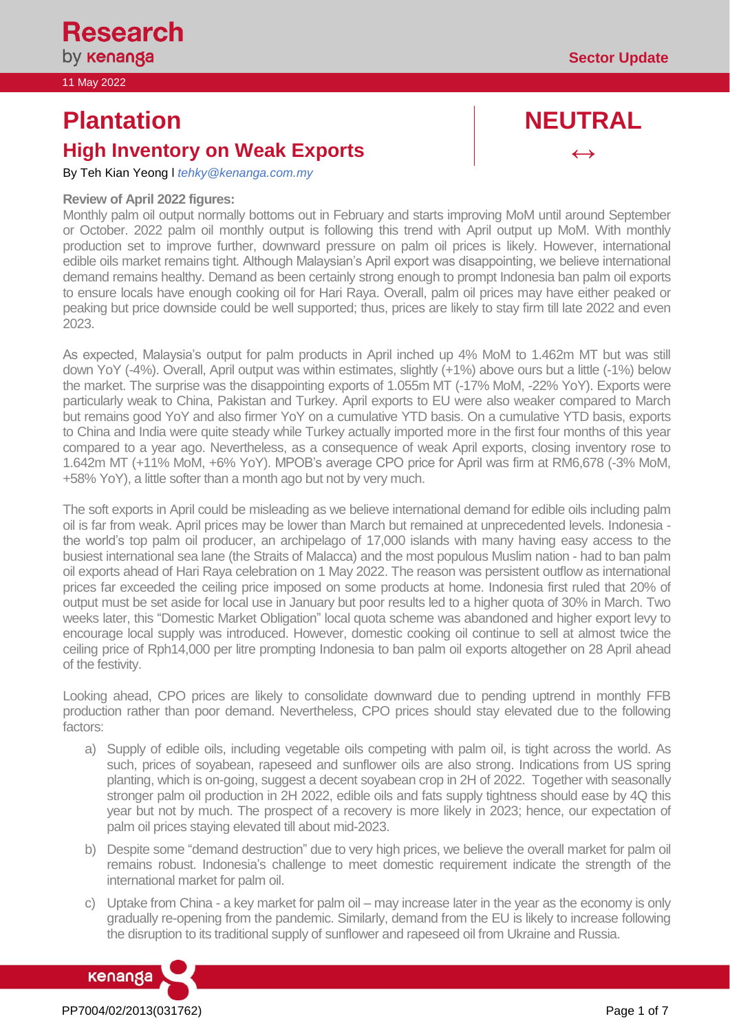# **Plantation NEUTRAL High Inventory on Weak Exports**

By Teh Kian Yeong l *[tehky@kenanga.com.my](mailto:tehky@kenanga.com.my)*

# **Review of April 2022 figures:**

Monthly palm oil output normally bottoms out in February and starts improving MoM until around September or October. 2022 palm oil monthly output is following this trend with April output up MoM. With monthly production set to improve further, downward pressure on palm oil prices is likely. However, international edible oils market remains tight. Although Malaysian's April export was disappointing, we believe international demand remains healthy. Demand as been certainly strong enough to prompt Indonesia ban palm oil exports to ensure locals have enough cooking oil for Hari Raya. Overall, palm oil prices may have either peaked or peaking but price downside could be well supported; thus, prices are likely to stay firm till late 2022 and even 2023.

As expected, Malaysia's output for palm products in April inched up 4% MoM to 1.462m MT but was still down YoY (-4%). Overall, April output was within estimates, slightly (+1%) above ours but a little (-1%) below the market. The surprise was the disappointing exports of 1.055m MT (-17% MoM, -22% YoY). Exports were particularly weak to China, Pakistan and Turkey. April exports to EU were also weaker compared to March but remains good YoY and also firmer YoY on a cumulative YTD basis. On a cumulative YTD basis, exports to China and India were quite steady while Turkey actually imported more in the first four months of this year compared to a year ago. Nevertheless, as a consequence of weak April exports, closing inventory rose to 1.642m MT (+11% MoM, +6% YoY). MPOB's average CPO price for April was firm at RM6,678 (-3% MoM, +58% YoY), a little softer than a month ago but not by very much.

The soft exports in April could be misleading as we believe international demand for edible oils including palm oil is far from weak. April prices may be lower than March but remained at unprecedented levels. Indonesia the world's top palm oil producer, an archipelago of 17,000 islands with many having easy access to the busiest international sea lane (the Straits of Malacca) and the most populous Muslim nation - had to ban palm oil exports ahead of Hari Raya celebration on 1 May 2022. The reason was persistent outflow as international prices far exceeded the ceiling price imposed on some products at home. Indonesia first ruled that 20% of output must be set aside for local use in January but poor results led to a higher quota of 30% in March. Two weeks later, this "Domestic Market Obligation" local quota scheme was abandoned and higher export levy to encourage local supply was introduced. However, domestic cooking oil continue to sell at almost twice the ceiling price of Rph14,000 per litre prompting Indonesia to ban palm oil exports altogether on 28 April ahead of the festivity.

Looking ahead, CPO prices are likely to consolidate downward due to pending uptrend in monthly FFB production rather than poor demand. Nevertheless, CPO prices should stay elevated due to the following factors:

- a) Supply of edible oils, including vegetable oils competing with palm oil, is tight across the world. As such, prices of soyabean, rapeseed and sunflower oils are also strong. Indications from US spring planting, which is on-going, suggest a decent soyabean crop in 2H of 2022. Together with seasonally stronger palm oil production in 2H 2022, edible oils and fats supply tightness should ease by 4Q this year but not by much. The prospect of a recovery is more likely in 2023; hence, our expectation of palm oil prices staying elevated till about mid-2023.
- b) Despite some "demand destruction" due to very high prices, we believe the overall market for palm oil remains robust. Indonesia's challenge to meet domestic requirement indicate the strength of the international market for palm oil.
- c) Uptake from China a key market for palm oil may increase later in the year as the economy is only gradually re-opening from the pandemic. Similarly, demand from the EU is likely to increase following the disruption to its traditional supply of sunflower and rapeseed oil from Ukraine and Russia.

PP7004/02/2013(031762) Page 1 of 7

kenanga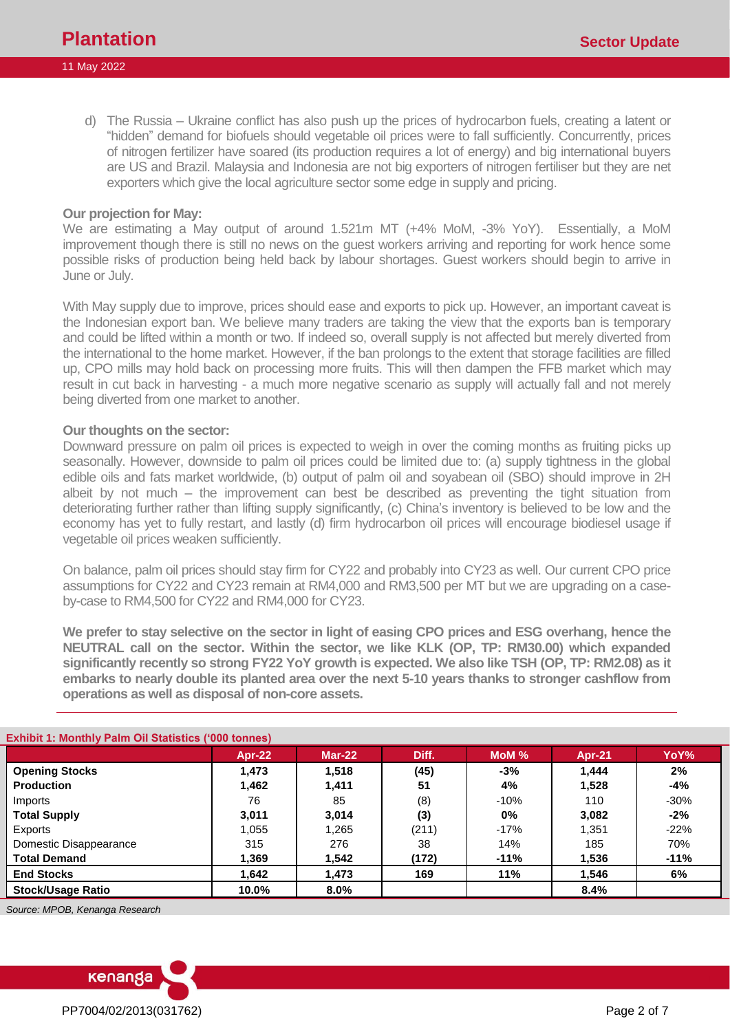d) The Russia – Ukraine conflict has also push up the prices of hydrocarbon fuels, creating a latent or "hidden" demand for biofuels should vegetable oil prices were to fall sufficiently. Concurrently, prices of nitrogen fertilizer have soared (its production requires a lot of energy) and big international buyers are US and Brazil. Malaysia and Indonesia are not big exporters of nitrogen fertiliser but they are net exporters which give the local agriculture sector some edge in supply and pricing.

# **Our projection for May:**

We are estimating a May output of around 1.521m MT (+4% MoM, -3% YoY). Essentially, a MoM improvement though there is still no news on the guest workers arriving and reporting for work hence some possible risks of production being held back by labour shortages. Guest workers should begin to arrive in June or July.

With May supply due to improve, prices should ease and exports to pick up. However, an important caveat is the Indonesian export ban. We believe many traders are taking the view that the exports ban is temporary and could be lifted within a month or two. If indeed so, overall supply is not affected but merely diverted from the international to the home market. However, if the ban prolongs to the extent that storage facilities are filled up, CPO mills may hold back on processing more fruits. This will then dampen the FFB market which may result in cut back in harvesting - a much more negative scenario as supply will actually fall and not merely being diverted from one market to another.

# **Our thoughts on the sector:**

Downward pressure on palm oil prices is expected to weigh in over the coming months as fruiting picks up seasonally. However, downside to palm oil prices could be limited due to: (a) supply tightness in the global edible oils and fats market worldwide, (b) output of palm oil and soyabean oil (SBO) should improve in 2H albeit by not much – the improvement can best be described as preventing the tight situation from deteriorating further rather than lifting supply significantly, (c) China's inventory is believed to be low and the economy has yet to fully restart, and lastly (d) firm hydrocarbon oil prices will encourage biodiesel usage if vegetable oil prices weaken sufficiently.

On balance, palm oil prices should stay firm for CY22 and probably into CY23 as well. Our current CPO price assumptions for CY22 and CY23 remain at RM4,000 and RM3,500 per MT but we are upgrading on a caseby-case to RM4,500 for CY22 and RM4,000 for CY23.

**We prefer to stay selective on the sector in light of easing CPO prices and ESG overhang, hence the NEUTRAL call on the sector. Within the sector, we like KLK (OP, TP: RM30.00) which expanded significantly recently so strong FY22 YoY growth is expected. We also like TSH (OP, TP: RM2.08) as it embarks to nearly double its planted area over the next 5-10 years thanks to stronger cashflow from operations as well as disposal of non-core assets.**

|                          | <b>Apr-22</b> | $Mar-22$ | Diff. | $MOM$ % | <b>Apr-21</b> | YoY%   |
|--------------------------|---------------|----------|-------|---------|---------------|--------|
| <b>Opening Stocks</b>    | 1,473         | 1,518    | (45)  | $-3%$   | 1,444         | 2%     |
| <b>Production</b>        | 1,462         | 1,411    | 51    | 4%      | 1,528         | $-4%$  |
| Imports                  | 76            | 85       | (8)   | $-10%$  | 110           | $-30%$ |
| <b>Total Supply</b>      | 3,011         | 3.014    | (3)   | $0\%$   | 3,082         | $-2%$  |
| Exports                  | 1,055         | 1,265    | (211) | $-17%$  | 1,351         | $-22%$ |
| Domestic Disappearance   | 315           | 276      | 38    | 14%     | 185           | 70%    |
| <b>Total Demand</b>      | 1,369         | 1,542    | (172) | $-11%$  | 1,536         | $-11%$ |
| <b>End Stocks</b>        | 1,642         | 1.473    | 169   | 11%     | 1,546         | 6%     |
| <b>Stock/Usage Ratio</b> | 10.0%         | $8.0\%$  |       |         | 8.4%          |        |

*Source: MPOB, Kenanga Research*

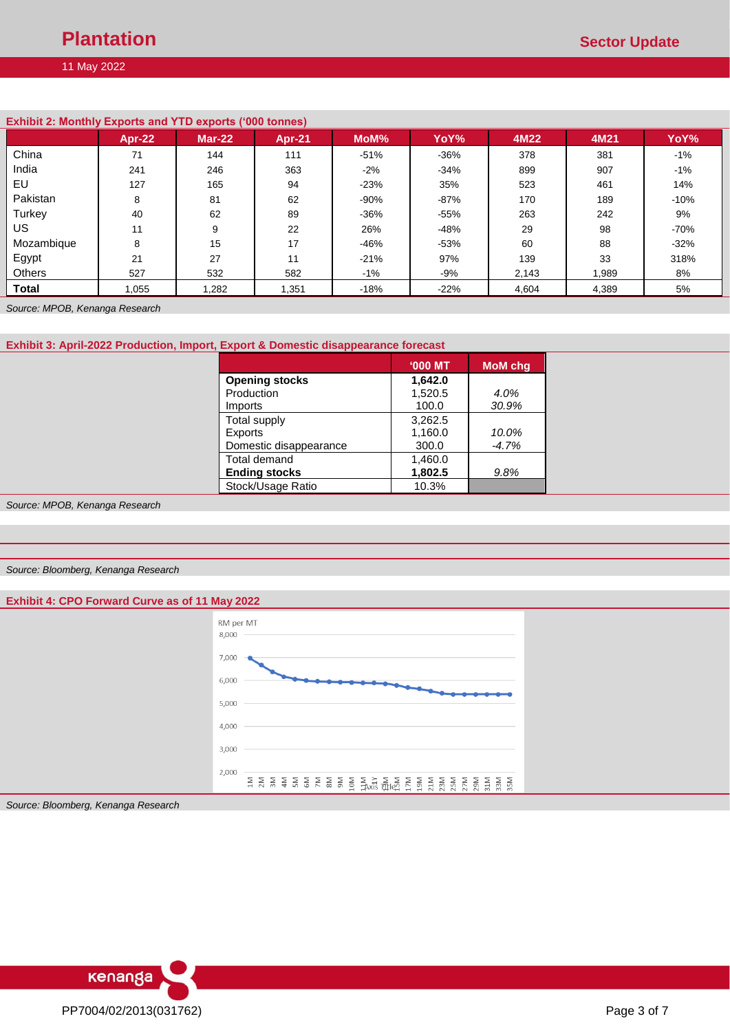### **Exhibit 2: Monthly Exports and YTD exports ('000 tonnes)**

|              | Apr-22 | $Mar-22$ | <b>Apr-21</b> | MoM%   | YoY%   | 4M22  | 4M21  | YoY%   |
|--------------|--------|----------|---------------|--------|--------|-------|-------|--------|
| China        | 71     | 144      | 111           | $-51%$ | $-36%$ | 378   | 381   | $-1%$  |
| India        | 241    | 246      | 363           | $-2%$  | $-34%$ | 899   | 907   | $-1%$  |
| EU           | 127    | 165      | 94            | $-23%$ | 35%    | 523   | 461   | 14%    |
| Pakistan     | 8      | 81       | 62            | $-90%$ | $-87%$ | 170   | 189   | $-10%$ |
| Turkey       | 40     | 62       | 89            | $-36%$ | $-55%$ | 263   | 242   | 9%     |
| US           | 11     | 9        | 22            | 26%    | -48%   | 29    | 98    | $-70%$ |
| Mozambique   | 8      | 15       | 17            | $-46%$ | $-53%$ | 60    | 88    | $-32%$ |
| Egypt        | 21     | 27       | 11            | $-21%$ | 97%    | 139   | 33    | 318%   |
| Others       | 527    | 532      | 582           | $-1\%$ | -9%    | 2,143 | 989,  | 8%     |
| <b>Total</b> | 1.055  | ,282     | 1,351         | $-18%$ | $-22%$ | 4,604 | 4,389 | 5%     |

*Source: MPOB, Kenanga Research*

## **Exhibit 3: April-2022 Production, Import, Export & Domestic disappearance forecast**

|                        | $'000$ MT | <b>MoM</b> chg |
|------------------------|-----------|----------------|
| <b>Opening stocks</b>  | 1,642.0   |                |
| Production             | 1,520.5   | 4.0%           |
| Imports                | 100.0     | 30.9%          |
| Total supply           | 3,262.5   |                |
| Exports                | 1,160.0   | 10.0%          |
| Domestic disappearance | 300.0     | $-4.7\%$       |
| Total demand           | 1,460.0   |                |
| <b>Ending stocks</b>   | 1,802.5   | 9.8%           |
| Stock/Usage Ratio      | 10.3%     |                |

### *Source: MPOB, Kenanga Research*

### *Source: Bloomberg, Kenanga Research*

### **Exhibit 4: CPO Forward Curve as of 11 May 2022**



*Source: Bloomberg, Kenanga Research*

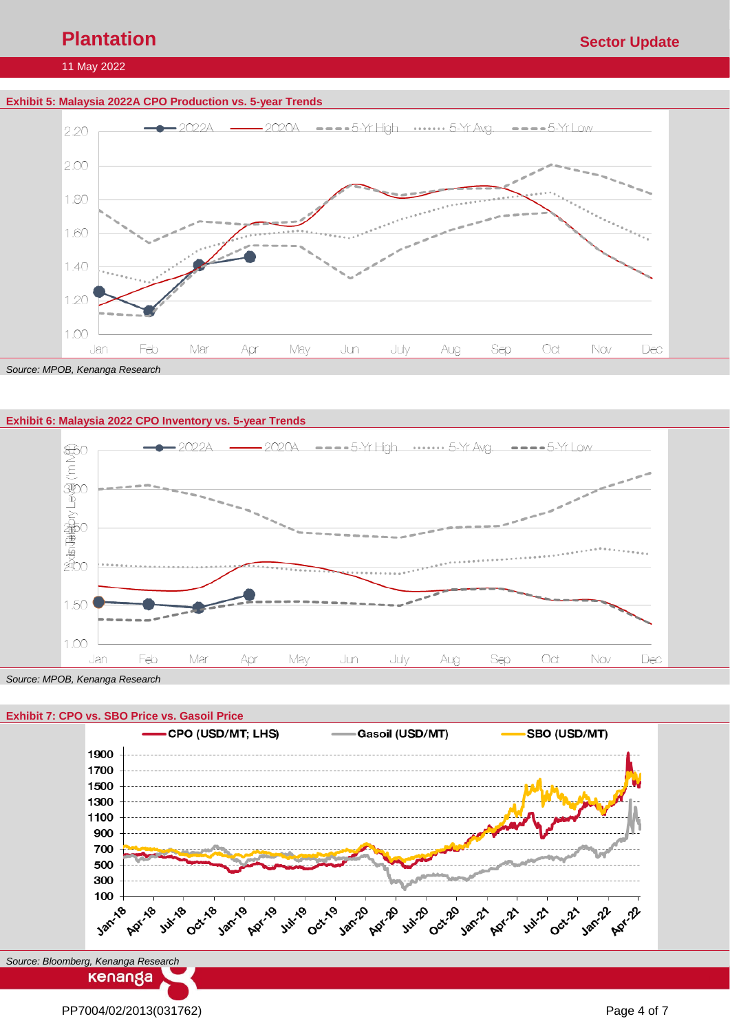# **Plantation Sector Update**

### 11 May 2022

# **Exhibit 5: Malaysia 2022A CPO Production vs. 5-year Trends**



**Exhibit 6: Malaysia 2022 CPO Inventory vs. 5-year Trends**



*Source: MPOB, Kenanga Research*



*Source: Bloomberg, Kenanga Research*

PP7004/02/2013(031762) Page 4 of 7

kenanga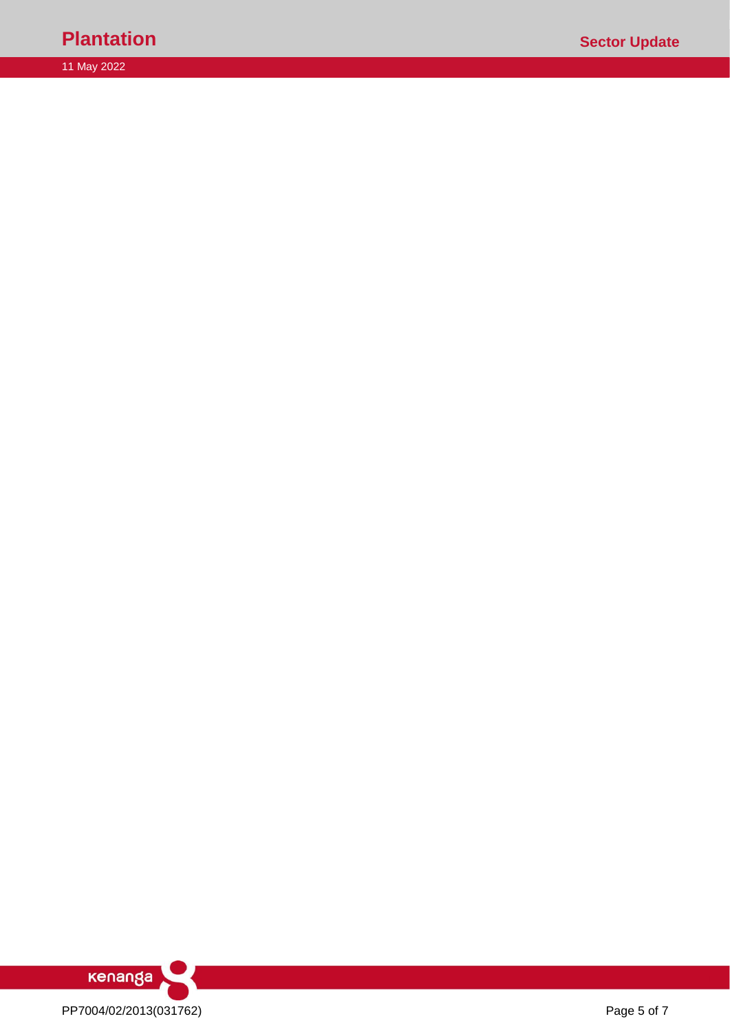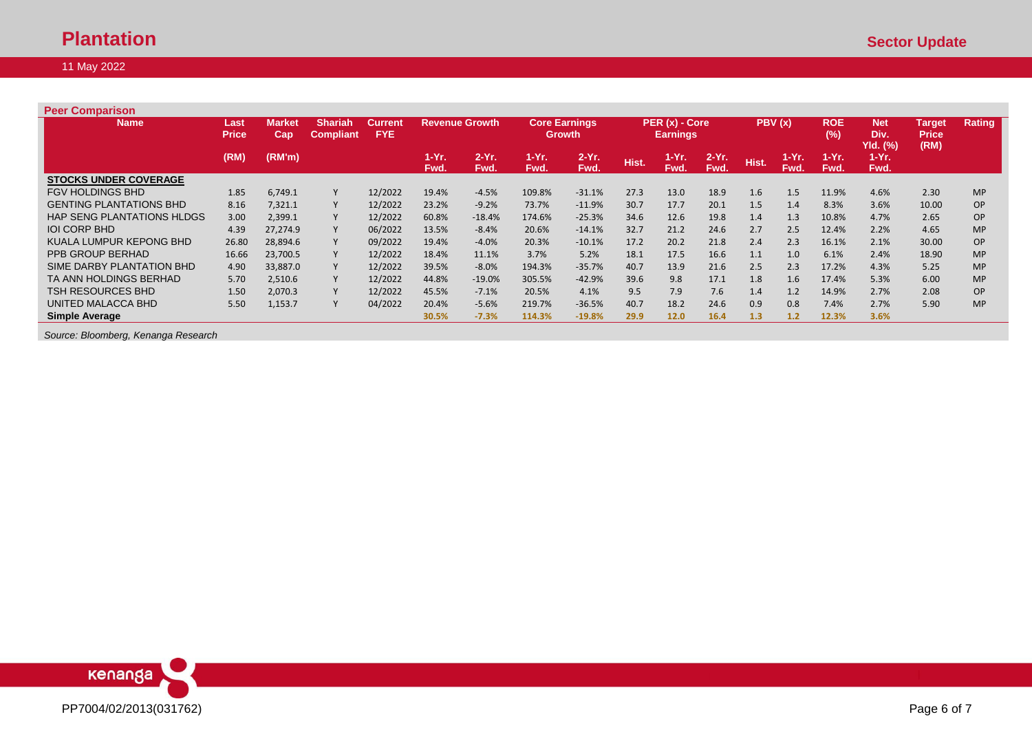# **Plantation Sector Update**

# 11 May 2022

| <b>Peer Comparison</b>              |                      |               |                                    |                              |                        |                       |               |                                |       |                                   |                  |       |                 |                   |                                     |                                       |           |
|-------------------------------------|----------------------|---------------|------------------------------------|------------------------------|------------------------|-----------------------|---------------|--------------------------------|-------|-----------------------------------|------------------|-------|-----------------|-------------------|-------------------------------------|---------------------------------------|-----------|
| <b>Name</b>                         | Last<br><b>Price</b> | Market<br>Cap | <b>Shariah</b><br><b>Compliant</b> | <b>Current</b><br><b>FYE</b> |                        | <b>Revenue Growth</b> |               | <b>Core Earnings</b><br>Growth |       | PER (x) - Core<br><b>Earnings</b> |                  |       | PBV(x)          | <b>ROE</b><br>(%) | <b>Net</b><br>Div.<br>$Yld.$ $(\%)$ | <b>Target</b><br><b>Price</b><br>(RM) | Rating    |
|                                     | (RM)                 | (RM'm)        |                                    |                              | $1-Yr$ .<br><b>Fwd</b> | $2-Yr$ .<br>Fwd.      | 1-Yr.<br>Fwd. | $2-Yr.$<br>Fwd.                | Hist. | 1-Yr. .<br>Fwd.                   | $2-Yr$ .<br>Fwd. | Hist. | $1-Yr.$<br>Fwd. | 1-Yr.<br>Fwd.     | $1-Yr.$<br>Fwd.                     |                                       |           |
| <b>STOCKS UNDER COVERAGE</b>        |                      |               |                                    |                              |                        |                       |               |                                |       |                                   |                  |       |                 |                   |                                     |                                       |           |
| <b>FGV HOLDINGS BHD</b>             | 1.85                 | 6,749.1       |                                    | 12/2022                      | 19.4%                  | $-4.5%$               | 109.8%        | $-31.1%$                       | 27.3  | 13.0                              | 18.9             | 1.6   | 1.5             | 11.9%             | 4.6%                                | 2.30                                  | <b>MP</b> |
| <b>GENTING PLANTATIONS BHD</b>      | 8.16                 | 7,321.1       |                                    | 12/2022                      | 23.2%                  | $-9.2%$               | 73.7%         | $-11.9%$                       | 30.7  | 17.7                              | 20.1             | 1.5   | 1.4             | 8.3%              | 3.6%                                | 10.00                                 | <b>OP</b> |
| <b>HAP SENG PLANTATIONS HLDGS</b>   | 3.00                 | 2,399.1       |                                    | 12/2022                      | 60.8%                  | $-18.4%$              | 174.6%        | $-25.3%$                       | 34.6  | 12.6                              | 19.8             | 1.4   | 1.3             | 10.8%             | 4.7%                                | 2.65                                  | <b>OP</b> |
| <b>IOI CORP BHD</b>                 | 4.39                 | 27,274.9      |                                    | 06/2022                      | 13.5%                  | $-8.4%$               | 20.6%         | $-14.1%$                       | 32.7  | 21.2                              | 24.6             | 2.7   | 2.5             | 12.4%             | 2.2%                                | 4.65                                  | <b>MP</b> |
| KUALA LUMPUR KEPONG BHD             | 26.80                | 28,894.6      |                                    | 09/2022                      | 19.4%                  | $-4.0%$               | 20.3%         | $-10.1%$                       | 17.2  | 20.2                              | 21.8             | 2.4   | 2.3             | 16.1%             | 2.1%                                | 30.00                                 | <b>OP</b> |
| PPB GROUP BERHAD                    | 16.66                | 23,700.5      |                                    | 12/2022                      | 18.4%                  | 11.1%                 | 3.7%          | 5.2%                           | 18.1  | 17.5                              | 16.6             | 1.1   | 1.0             | 6.1%              | 2.4%                                | 18.90                                 | <b>MP</b> |
| SIME DARBY PLANTATION BHD           | 4.90                 | 33,887.0      |                                    | 12/2022                      | 39.5%                  | $-8.0%$               | 194.3%        | $-35.7%$                       | 40.7  | 13.9                              | 21.6             | 2.5   | 2.3             | 17.2%             | 4.3%                                | 5.25                                  | <b>MP</b> |
| TA ANN HOLDINGS BERHAD              | 5.70                 | 2,510.6       |                                    | 12/2022                      | 44.8%                  | $-19.0%$              | 305.5%        | $-42.9%$                       | 39.6  | 9.8                               | 17.1             | 1.8   | 1.6             | 17.4%             | 5.3%                                | 6.00                                  | <b>MP</b> |
| <b>TSH RESOURCES BHD</b>            | 1.50                 | 2,070.3       |                                    | 12/2022                      | 45.5%                  | $-7.1%$               | 20.5%         | 4.1%                           | 9.5   | 7.9                               | 7.6              | 1.4   | 1.2             | 14.9%             | 2.7%                                | 2.08                                  | <b>OP</b> |
| UNITED MALACCA BHD                  | 5.50                 | 1,153.7       |                                    | 04/2022                      | 20.4%                  | $-5.6%$               | 219.7%        | $-36.5%$                       | 40.7  | 18.2                              | 24.6             | 0.9   | 0.8             | 7.4%              | 2.7%                                | 5.90                                  | <b>MP</b> |
| Simple Average                      |                      |               |                                    |                              | 30.5%                  | $-7.3%$               | 114.3%        | $-19.8%$                       | 29.9  | 12.0                              | 16.4             | 1.3   | 1.2             | 12.3%             | 3.6%                                |                                       |           |
| Source: Bloomberg, Kenanga Research |                      |               |                                    |                              |                        |                       |               |                                |       |                                   |                  |       |                 |                   |                                     |                                       |           |

kenanga PP7004/02/2013(031762) Page 6 of 7